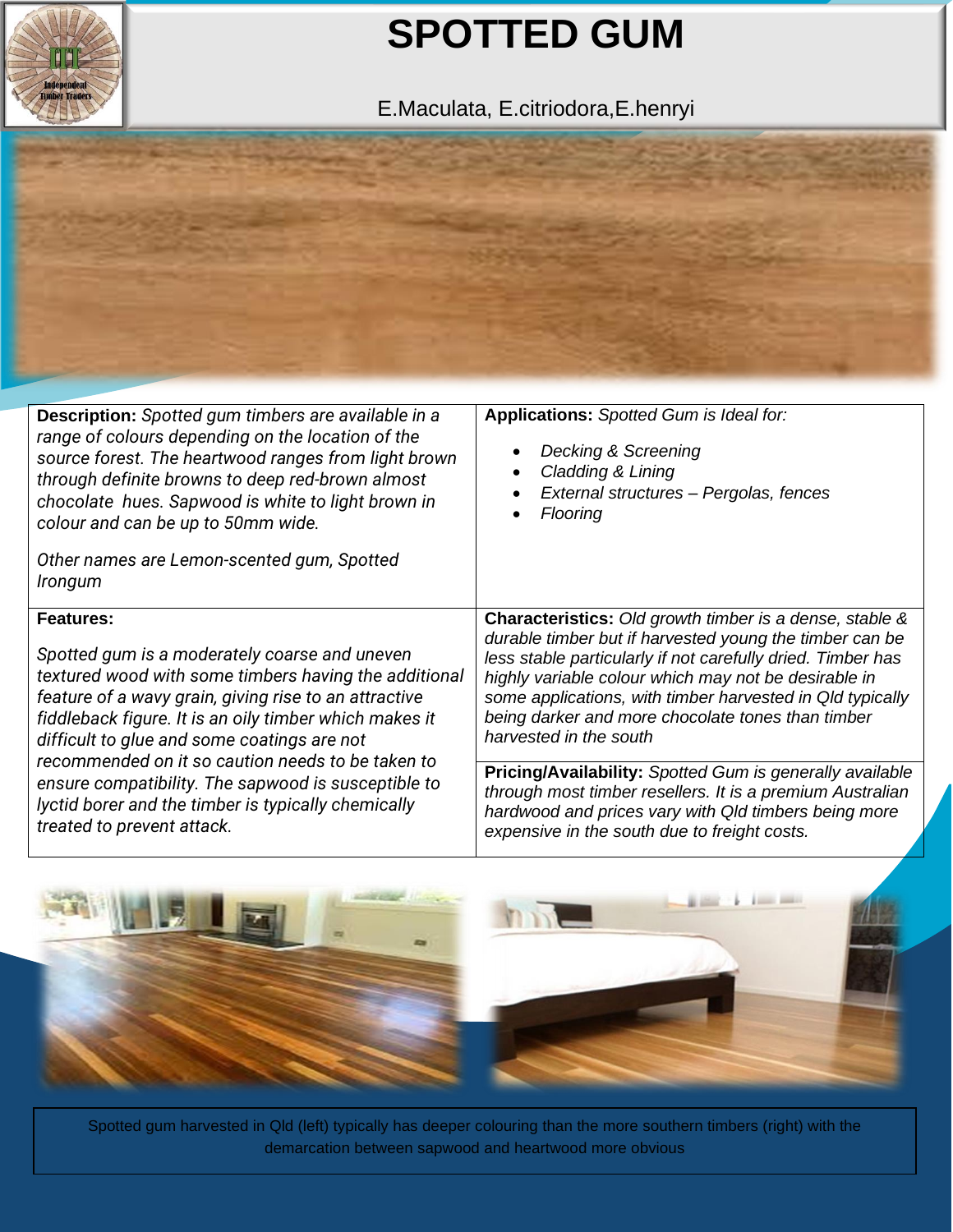

## **SPOTTED GUM**

E.Maculata, E.citriodora,E.henryi



| <b>Description:</b> Spotted gum timbers are available in a<br>range of colours depending on the location of the<br>source forest. The heartwood ranges from light brown<br>through definite browns to deep red-brown almost<br>chocolate hues. Sapwood is white to light brown in<br>colour and can be up to 50mm wide.<br>Other names are Lemon-scented gum, Spotted                                                                                                                         | Applications: Spotted Gum is Ideal for:<br>Decking & Screening<br>Cladding & Lining<br>External structures - Pergolas, fences<br>Flooring                                                                                                                                                                                                                                                    |  |  |
|-----------------------------------------------------------------------------------------------------------------------------------------------------------------------------------------------------------------------------------------------------------------------------------------------------------------------------------------------------------------------------------------------------------------------------------------------------------------------------------------------|----------------------------------------------------------------------------------------------------------------------------------------------------------------------------------------------------------------------------------------------------------------------------------------------------------------------------------------------------------------------------------------------|--|--|
| Irongum                                                                                                                                                                                                                                                                                                                                                                                                                                                                                       |                                                                                                                                                                                                                                                                                                                                                                                              |  |  |
| <b>Features:</b><br>Spotted gum is a moderately coarse and uneven<br>textured wood with some timbers having the additional<br>feature of a wavy grain, giving rise to an attractive<br>fiddleback figure. It is an oily timber which makes it<br>difficult to glue and some coatings are not<br>recommended on it so caution needs to be taken to<br>ensure compatibility. The sapwood is susceptible to<br>lyctid borer and the timber is typically chemically<br>treated to prevent attack. | <b>Characteristics:</b> Old growth timber is a dense, stable &<br>durable timber but if harvested young the timber can be<br>less stable particularly if not carefully dried. Timber has<br>highly variable colour which may not be desirable in<br>some applications, with timber harvested in Qld typically<br>being darker and more chocolate tones than timber<br>harvested in the south |  |  |
|                                                                                                                                                                                                                                                                                                                                                                                                                                                                                               | Pricing/Availability: Spotted Gum is generally available<br>through most timber resellers. It is a premium Australian<br>hardwood and prices vary with Qld timbers being more<br>expensive in the south due to freight costs.                                                                                                                                                                |  |  |



Spotted gum harvested in Qld (left) typically has deeper colouring than the more southern timbers (right) with the demarcation between sapwood and heartwood more obvious